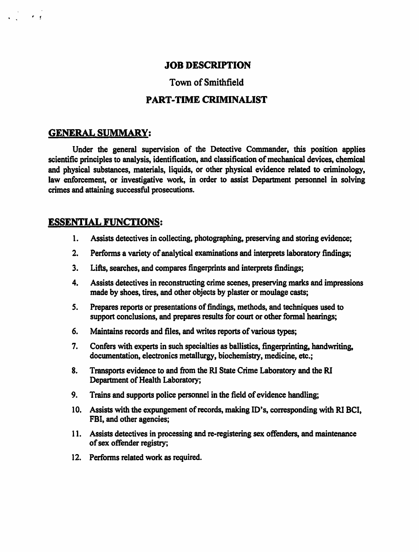### JOB DESCRIPTION

### Town of Smithfield

#### PART-TIME CRIMINALIST

#### GENERAL SUMMARY:

 $\mathcal{L}^{\text{max}}_{\text{max}}$ 

Under the general supervision of the Detective Commander, this position applies scientific principles to analysis, identification, and classification of mechanical devices, chemical and physical substances, materials, liquids, or other physical evidence related to criminology, law enforcement, or investigative work, in order to assist Department personnel in solving crimes and attaining successful prosecutions.

#### ESSENTIAL FUNCTIONS:

- 1. Assists detectives in collecting, photographing, preserving and storing evidence;
- 2. Perfonns a variety of analytical examinations and interprets laboratory findings;
- 3. Lifts, searches, and compares fingerprints and interprets findings;
- 4. Assists detectives in reconstructing crime scenes, preserving marks and impressions made by shoes, tires, and other objects by plaster or moulage casts;
- *S.* Prepares reports or presentations of findings, methods, and techniques used to support conclusions, and prepares results for court or other formal hearings;
- 6. Maintains records and files, and writes reports of various types;
- 7. Confers with experts in such specialties as ballistics, fingerprinting, handwriting, documentation, electronics metallurgy, biochemistry, medicine, etc.;
- 8. Transports evidence to and from the RI State Crime Laboratory and the RI Department of Health Laboratory;
- 9. Trains and supports police personnel in the field of evidence handling;
- 10. Assists with the expungement of records, making ID's, corresponding with RI BCI, FBI, and other agencies;
- 11. Assists detectives in processing and re-registering sex offenders, and maintenance of sex offender registry;
- 12. Performs related work as required.